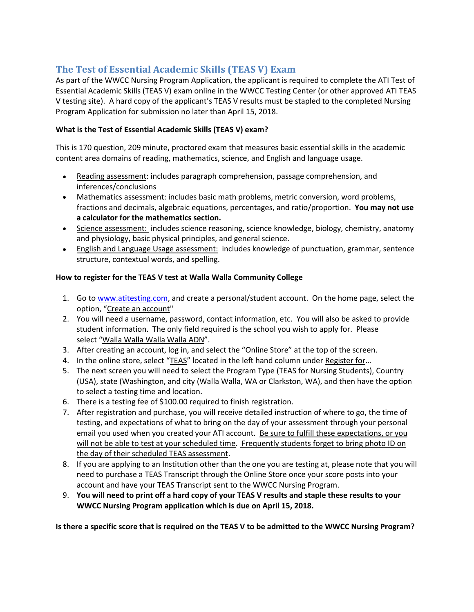# **The Test of Essential Academic Skills (TEAS V) Exam**

As part of the WWCC Nursing Program Application, the applicant is required to complete the ATI Test of Essential Academic Skills (TEAS V) exam online in the WWCC Testing Center (or other approved ATI TEAS V testing site). A hard copy of the applicant's TEAS V results must be stapled to the completed Nursing Program Application for submission no later than April 15, 2018.

## **What is the Test of Essential Academic Skills (TEAS V) exam?**

This is 170 question, 209 minute, proctored exam that measures basic essential skills in the academic content area domains of reading, mathematics, science, and English and language usage.

- Reading assessment: includes paragraph comprehension, passage comprehension, and inferences/conclusions
- Mathematics assessment: includes basic math problems, metric conversion, word problems, fractions and decimals, algebraic equations, percentages, and ratio/proportion. **You may not use a calculator for the mathematics section.**
- Science assessment: includes science reasoning, science knowledge, biology, chemistry, anatomy and physiology, basic physical principles, and general science.
- English and Language Usage assessment: includes knowledge of punctuation, grammar, sentence structure, contextual words, and spelling.

## **How to register for the TEAS V test at Walla Walla Community College**

- 1. Go to [www.atitesting.com,](http://www.atitesting.com/) and create a personal/student account. On the home page, select the option, "Create an account"
- 2. You will need a username, password, contact information, etc. You will also be asked to provide student information. The only field required is the school you wish to apply for. Please select "Walla Walla Walla Walla ADN".
- 3. After creating an account, log in, and select the "Online Store" at the top of the screen.
- 4. In the online store, select "TEAS" located in the left hand column under Register for…
- 5. The next screen you will need to select the Program Type (TEAS for Nursing Students), Country (USA), state (Washington, and city (Walla Walla, WA or Clarkston, WA), and then have the option to select a testing time and location.
- 6. There is a testing fee of \$100.00 required to finish registration.
- 7. After registration and purchase, you will receive detailed instruction of where to go, the time of testing, and expectations of what to bring on the day of your assessment through your personal email you used when you created your ATI account. Be sure to fulfill these expectations, or you will not be able to test at your scheduled time. Frequently students forget to bring photo ID on the day of their scheduled TEAS assessment.
- 8. If you are applying to an Institution other than the one you are testing at, please note that you will need to purchase a TEAS Transcript through the Online Store once your score posts into your account and have your TEAS Transcript sent to the WWCC Nursing Program.
- 9. **You will need to print off a hard copy of your TEAS V results and staple these results to your WWCC Nursing Program application which is due on April 15, 2018.**

**Is there a specific score that is required on the TEAS V to be admitted to the WWCC Nursing Program?**